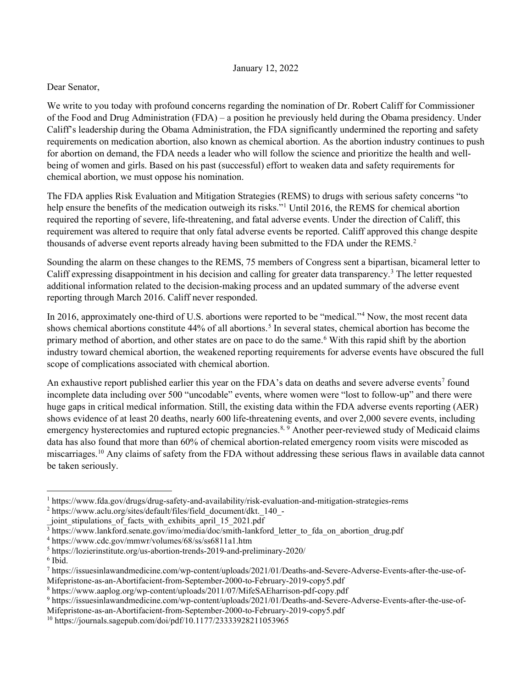## January 12, 2022

## Dear Senator,

We write to you today with profound concerns regarding the nomination of Dr. Robert Califf for Commissioner of the Food and Drug Administration (FDA) – a position he previously held during the Obama presidency. Under Califf's leadership during the Obama Administration, the FDA significantly undermined the reporting and safety requirements on medication abortion, also known as chemical abortion. As the abortion industry continues to push for abortion on demand, the FDA needs a leader who will follow the science and prioritize the health and wellbeing of women and girls. Based on his past (successful) effort to weaken data and safety requirements for chemical abortion, we must oppose his nomination.

The FDA applies Risk Evaluation and Mitigation Strategies (REMS) to drugs with serious safety concerns "to help ensure the benefits of the medication outweigh its risks."<sup>1</sup> Until 2016, the REMS for chemical abortion required the reporting of severe, life-threatening, and fatal adverse events. Under the direction of Califf, this requirement was altered to require that only fatal adverse events be reported. Califf approved this change despite thousands of adverse event reports already having been submitted to the FDA under the REMS.<sup>[2](#page-0-1)</sup>

Sounding the alarm on these changes to the REMS, 75 members of Congress sent a bipartisan, bicameral letter to Califf expressing disappointment in his decision and calling for greater data transparency.[3](#page-0-2) The letter requested additional information related to the decision-making process and an updated summary of the adverse event reporting through March 2016. Califf never responded.

In 2016, approximately one-third of U.S. abortions were reported to be "medical.["4](#page-0-3) Now, the most recent data shows chemical abortions constitute 44% of all abortions. [5](#page-0-4) In several states, chemical abortion has become the primary method of abortion, and other states are on pace to do the same.[6](#page-0-5) With this rapid shift by the abortion industry toward chemical abortion, the weakened reporting requirements for adverse events have obscured the full scope of complications associated with chemical abortion.

An exhaustive report published earlier this year on the FDA's data on deaths and severe adverse events<sup>[7](#page-0-6)</sup> found incomplete data including over 500 "uncodable" events, where women were "lost to follow-up" and there were huge gaps in critical medical information. Still, the existing data within the FDA adverse events reporting (AER) shows evidence of at least 20 deaths, nearly 600 life-threatening events, and over 2,000 severe events, including emergency hysterectomies and ruptured ectopic pregnancies.<sup>[8](#page-0-7), [9](#page-0-8)</sup> Another peer-reviewed study of Medicaid claims data has also found that more than 60% of chemical abortion-related emergency room visits were miscoded as miscarriages. [10](#page-0-9) Any claims of safety from the FDA without addressing these serious flaws in available data cannot be taken seriously.

<span id="page-0-1"></span><sup>2</sup> https://www.aclu.org/sites/default/files/field\_document/dkt.\_140\_-

<span id="page-0-0"></span><sup>1</sup> https://www.fda.gov/drugs/drug-safety-and-availability/risk-evaluation-and-mitigation-strategies-rems

joint stipulations of facts with exhibits april 15 2021.pdf

<span id="page-0-2"></span><sup>&</sup>lt;sup>3</sup> https://www.lankford.senate.gov/imo/media/doc/smith-lankford\_letter\_to\_fda\_on\_abortion\_drug.pdf

<span id="page-0-3"></span><sup>4</sup> https://www.cdc.gov/mmwr/volumes/68/ss/ss6811a1.htm

<span id="page-0-4"></span> $5$  https://lozierinstitute.org/us-abortion-trends-2019-and-preliminary-2020/

<span id="page-0-5"></span><sup>6</sup> Ibid.

<span id="page-0-6"></span><sup>7</sup> https://issuesinlawandmedicine.com/wp-content/uploads/2021/01/Deaths-and-Severe-Adverse-Events-after-the-use-of-Mifepristone-as-an-Abortifacient-from-September-2000-to-February-2019-copy5.pdf

<span id="page-0-7"></span><sup>8</sup> https://www.aaplog.org/wp-content/uploads/2011/07/MifeSAEharrison-pdf-copy.pdf

<span id="page-0-8"></span><sup>9</sup> https://issuesinlawandmedicine.com/wp-content/uploads/2021/01/Deaths-and-Severe-Adverse-Events-after-the-use-of-

Mifepristone-as-an-Abortifacient-from-September-2000-to-February-2019-copy5.pdf

<span id="page-0-9"></span><sup>10</sup> https://journals.sagepub.com/doi/pdf/10.1177/23333928211053965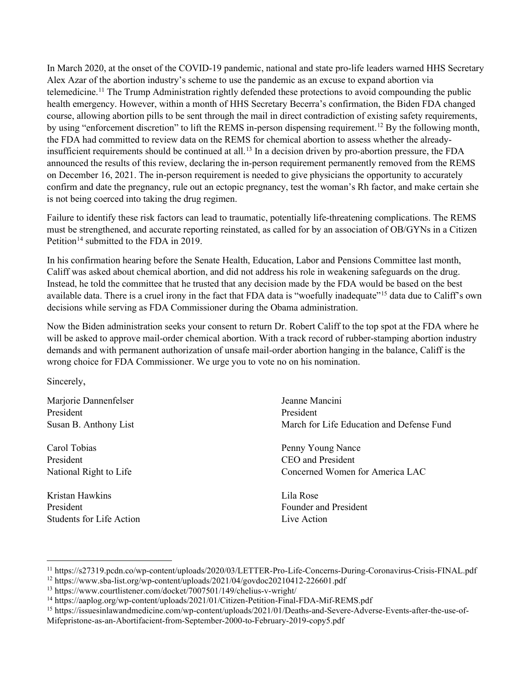In March 2020, at the onset of the COVID-19 pandemic, national and state pro-life leaders warned HHS Secretary Alex Azar of the abortion industry's scheme to use the pandemic as an excuse to expand abortion via telemedicine[.11](#page-1-0) The Trump Administration rightly defended these protections to avoid compounding the public health emergency. However, within a month of HHS Secretary Becerra's confirmation, the Biden FDA changed course, allowing abortion pills to be sent through the mail in direct contradiction of existing safety requirements, by using "enforcement discretion" to lift the REMS in-person dispensing requirement.<sup>[12](#page-1-1)</sup> By the following month, the FDA had committed to review data on the REMS for chemical abortion to assess whether the alreadyinsufficient requirements should be continued at all. [13](#page-1-2) In a decision driven by pro-abortion pressure, the FDA announced the results of this review, declaring the in-person requirement permanently removed from the REMS on December 16, 2021. The in-person requirement is needed to give physicians the opportunity to accurately confirm and date the pregnancy, rule out an ectopic pregnancy, test the woman's Rh factor, and make certain she is not being coerced into taking the drug regimen.

Failure to identify these risk factors can lead to traumatic, potentially life-threatening complications. The REMS must be strengthened, and accurate reporting reinstated, as called for by an association of OB/GYNs in a Citizen Petition<sup>[14](#page-1-3)</sup> submitted to the FDA in 2019.

In his confirmation hearing before the Senate Health, Education, Labor and Pensions Committee last month, Califf was asked about chemical abortion, and did not address his role in weakening safeguards on the drug. Instead, he told the committee that he trusted that any decision made by the FDA would be based on the best available data. There is a cruel irony in the fact that FDA data is "woefully inadequate"<sup>[15](#page-1-4)</sup> data due to Califf's own decisions while serving as FDA Commissioner during the Obama administration.

Now the Biden administration seeks your consent to return Dr. Robert Califf to the top spot at the FDA where he will be asked to approve mail-order chemical abortion. With a track record of rubber-stamping abortion industry demands and with permanent authorization of unsafe mail-order abortion hanging in the balance, Califf is the wrong choice for FDA Commissioner. We urge you to vote no on his nomination.

Sincerely,

| Marjorie Dannenfelser<br>President<br>Susan B. Anthony List | Jeanne Mancini<br>President<br>March for Life Education and Defense Fund |              |                   |
|-------------------------------------------------------------|--------------------------------------------------------------------------|--------------|-------------------|
|                                                             |                                                                          | Carol Tobias | Penny Young Nance |
|                                                             |                                                                          | President    | CEO and President |
| National Right to Life                                      | Concerned Women for America LAC                                          |              |                   |
| Kristan Hawkins                                             | Lila Rose                                                                |              |                   |
| President                                                   | Founder and President                                                    |              |                   |
| <b>Students for Life Action</b>                             | Live Action                                                              |              |                   |
|                                                             |                                                                          |              |                   |

<span id="page-1-0"></span><sup>11</sup> https://s27319.pcdn.co/wp-content/uploads/2020/03/LETTER-Pro-Life-Concerns-During-Coronavirus-Crisis-FINAL.pdf

<span id="page-1-1"></span><sup>12</sup> https://www.sba-list.org/wp-content/uploads/2021/04/govdoc20210412-226601.pdf

<span id="page-1-2"></span><sup>13</sup> https://www.courtlistener.com/docket/7007501/149/chelius-v-wright/

<span id="page-1-3"></span><sup>14</sup> https://aaplog.org/wp-content/uploads/2021/01/Citizen-Petition-Final-FDA-Mif-REMS.pdf

<span id="page-1-4"></span><sup>15</sup> https://issuesinlawandmedicine.com/wp-content/uploads/2021/01/Deaths-and-Severe-Adverse-Events-after-the-use-of-

Mifepristone-as-an-Abortifacient-from-September-2000-to-February-2019-copy5.pdf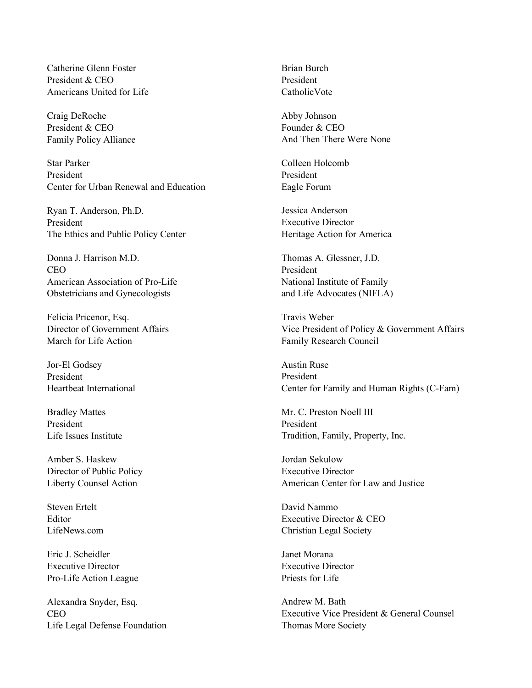Catherine Glenn Foster President & CEO Americans United for Life

Craig DeRoche President & CEO Family Policy Alliance

Star Parker President Center for Urban Renewal and Education

Ryan T. Anderson, Ph.D. President The Ethics and Public Policy Center

Donna J. Harrison M.D. CEO American Association of Pro-Life Obstetricians and Gynecologists

Felicia Pricenor, Esq. Director of Government Affairs March for Life Action

Jor-El Godsey President Heartbeat International

Bradley Mattes President Life Issues Institute

Amber S. Haskew Director of Public Policy Liberty Counsel Action

Steven Ertelt **Editor** LifeNews.com

Eric J. Scheidler Executive Director Pro-Life Action League

Alexandra Snyder, Esq. CEO Life Legal Defense Foundation

Brian Burch President CatholicVote

Abby Johnson Founder & CEO And Then There Were None

Colleen Holcomb President Eagle Forum

Jessica Anderson Executive Director Heritage Action for America

Thomas A. Glessner, J.D. President National Institute of Family and Life Advocates (NIFLA)

Travis Weber Vice President of Policy & Government Affairs Family Research Council

Austin Ruse President Center for Family and Human Rights (C-Fam)

Mr. C. Preston Noell III President Tradition, Family, Property, Inc.

Jordan Sekulow Executive Director American Center for Law and Justice

David Nammo Executive Director & CEO Christian Legal Society

Janet Morana Executive Director Priests for Life

Andrew M. Bath Executive Vice President & General Counsel Thomas More Society